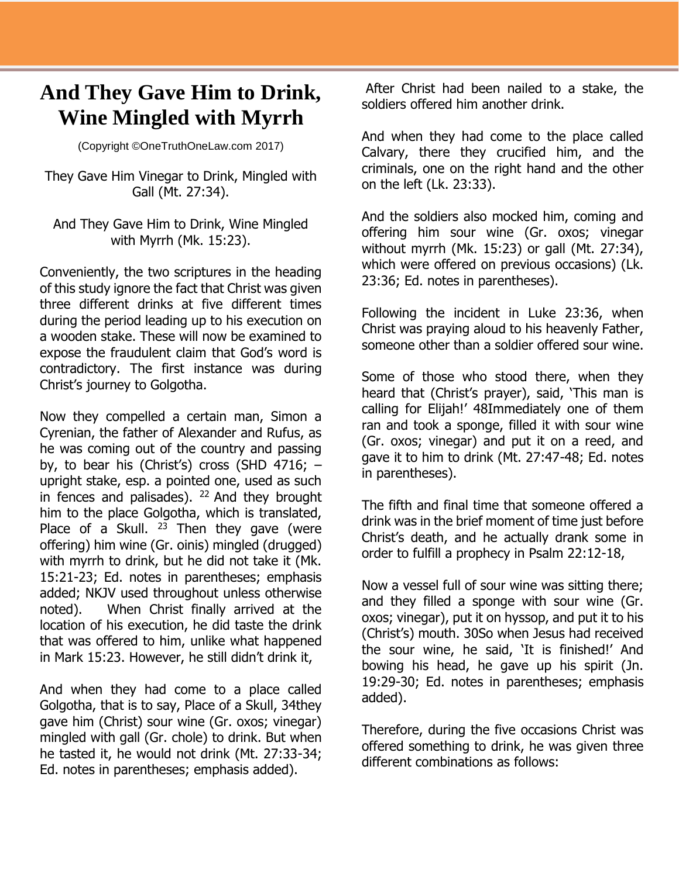## **And They Gave Him to Drink, Wine Mingled with Myrrh**

(Copyright ©OneTruthOneLaw.com 2017)

They Gave Him Vinegar to Drink, Mingled with Gall (Mt. 27:34).

And They Gave Him to Drink, Wine Mingled with Myrrh (Mk. 15:23).

Conveniently, the two scriptures in the heading of this study ignore the fact that Christ was given three different drinks at five different times during the period leading up to his execution on a wooden stake. These will now be examined to expose the fraudulent claim that God's word is contradictory. The first instance was during Christ's journey to Golgotha.

Now they compelled a certain man, Simon a Cyrenian, the father of Alexander and Rufus, as he was coming out of the country and passing by, to bear his (Christ's) cross (SHD 4716;  $$ upright stake, esp. a pointed one, used as such in fences and palisades).  $22$  And they brought him to the place Golgotha, which is translated, Place of a Skull.  $2^3$  Then they gave (were offering) him wine (Gr. oinis) mingled (drugged) with myrrh to drink, but he did not take it (Mk. 15:21-23; Ed. notes in parentheses; emphasis added; NKJV used throughout unless otherwise noted). When Christ finally arrived at the location of his execution, he did taste the drink that was offered to him, unlike what happened in Mark 15:23. However, he still didn't drink it,

And when they had come to a place called Golgotha, that is to say, Place of a Skull, 34they gave him (Christ) sour wine (Gr. oxos; vinegar) mingled with gall (Gr. chole) to drink. But when he tasted it, he would not drink (Mt. 27:33-34; Ed. notes in parentheses; emphasis added).

After Christ had been nailed to a stake, the soldiers offered him another drink.

And when they had come to the place called Calvary, there they crucified him, and the criminals, one on the right hand and the other on the left (Lk. 23:33).

And the soldiers also mocked him, coming and offering him sour wine (Gr. oxos; vinegar without myrrh (Mk. 15:23) or gall (Mt. 27:34), which were offered on previous occasions) (Lk. 23:36; Ed. notes in parentheses).

Following the incident in Luke 23:36, when Christ was praying aloud to his heavenly Father, someone other than a soldier offered sour wine.

Some of those who stood there, when they heard that (Christ's prayer), said, 'This man is calling for Elijah!' 48Immediately one of them ran and took a sponge, filled it with sour wine (Gr. oxos; vinegar) and put it on a reed, and gave it to him to drink (Mt. 27:47-48; Ed. notes in parentheses).

The fifth and final time that someone offered a drink was in the brief moment of time just before Christ's death, and he actually drank some in order to fulfill a prophecy in Psalm 22:12-18,

Now a vessel full of sour wine was sitting there; and they filled a sponge with sour wine (Gr. oxos; vinegar), put it on hyssop, and put it to his (Christ's) mouth. 30So when Jesus had received the sour wine, he said, 'It is finished!' And bowing his head, he gave up his spirit (Jn. 19:29-30; Ed. notes in parentheses; emphasis added).

Therefore, during the five occasions Christ was offered something to drink, he was given three different combinations as follows: